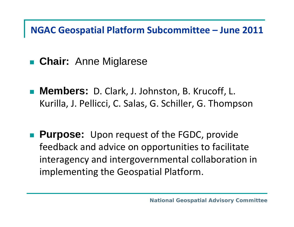#### **NGAC Geospatial Platform Subcommittee – June 2011**

- **Chair:** Anne Miglarese
- **Members:** D. Clark, J. Johnston, B. Krucoff, L. Kurilla, J. Pellicci, C. Salas, G. Schiller, G. Thompson

**Purpose:** Upon request of the FGDC, provide feedback and advice on opportunities to facilitate interagency and intergovernmental collaboration in implementing the Geospatial Platform.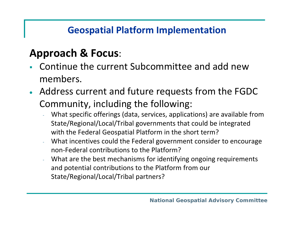#### **Geospatial Platform Implementation**

### **Approach & Focus**:

- Continue the current Subcommittee and add newmembers.
- Address current and future requests from the FGDC Community, including the following:
	- What specific offerings (data, services, applications) are available from State/Regional/Local/Tribal governments that could be integrated with the Federal Geospatial Platform in the short term?
	- What incentives could the Federal government consider to encourage non‐Federal contributions to the Platform?
	- What are the best mechanisms for identifying ongoing requirements and potential contributions to the Platform from our State/Regional/Local/Tribal partners?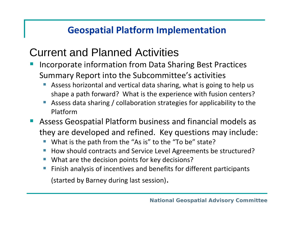#### **Geospatial Platform Implementation**

## Current and Planned Activities

- Incorporate information from Data Sharing Best Practices Summary Report into the Subcommittee's activities
	- T **Assess horizontal and vertical data sharing, what is going to help us** shape a path forward? What is the experience with fusion centers?
	- T ■ Assess data sharing / collaboration strategies for applicability to the Platform
- Assess Geospatial Platform business and financial models as they are developed and refined. Key questions may include:
	- e<br>S ■ What is the path from the "As is" to the "To be" state?
	- e<br>S ■ How should contracts and Service Level Agreements be structured?
	- e<br>S ■ What are the decision points for key decisions?
	- e<br>S **Finish analysis of incentives and benefits for different participants**

(started by Barney during last session).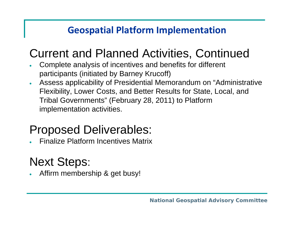#### **Geospatial Platform Implementation**

# Current and Planned Activities, Continued

- • Complete analysis of incentives and benefits for different participants (initiated by Barney Krucoff)
- • Assess applicability of Presidential Memorandum on "Administrative Flexibility, Lower Costs, and Better Results for State, Local, and Tribal Governments" (February 28, 2011) to Platform implementation activities.

## Proposed Deliverables:

•Finalize Platform Incentives Matrix

## Next Steps:

•Affirm membership & get busy!